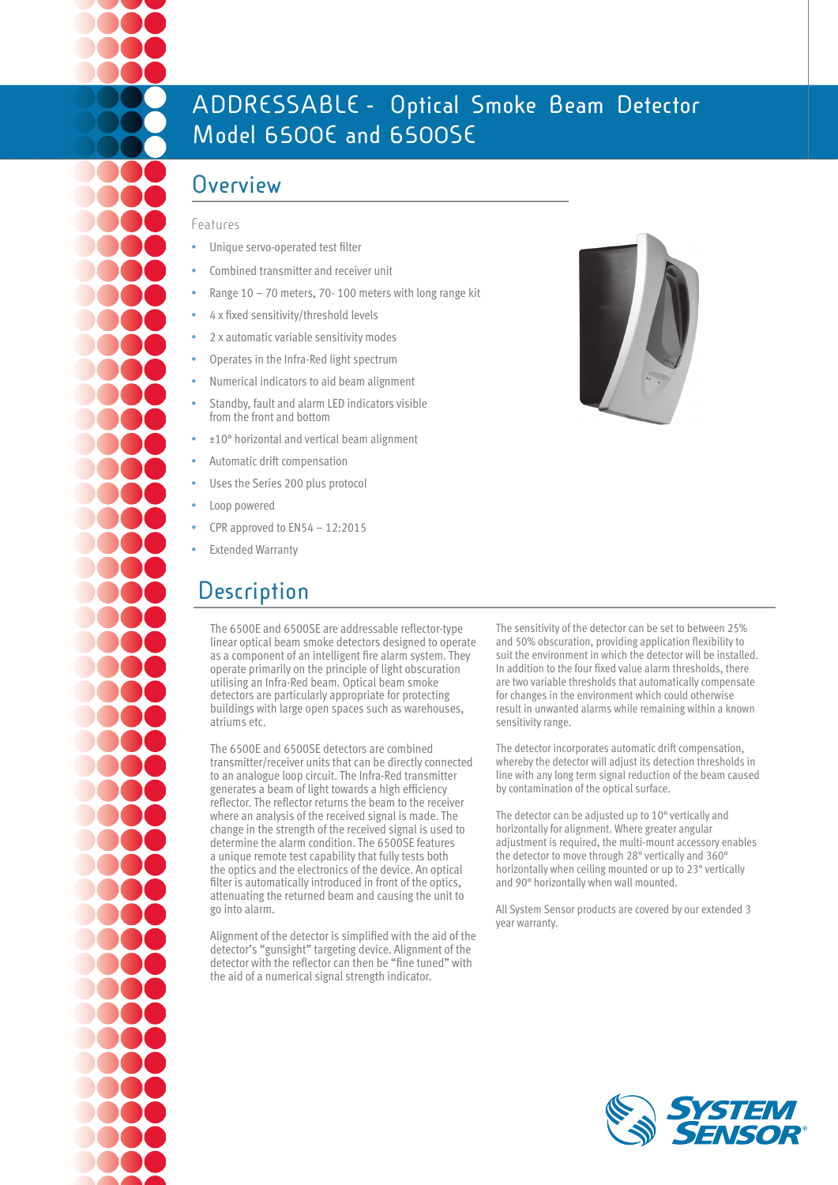# **ADDRESSABLE - Optical Smoke Beam Detector Model 6500E and 6500SE**

### **Overview**

#### Features

- Unique servo-operated test filter
- Combined transmitter and receiver unit
- Range  $10 70$  meters,  $70 100$  meters with long range kit
- 4 x fixed sensitivity/threshold levels
- 2 x automatic variable sensitivity modes
- Operates in the Infra-Red light spectrum
- Numerical indicators to aid beam alignment
- Standby, fault and alarm LED indicators visible from the front and bottom
- ±10° horizontal and vertical beam alignment
- Automatic drift compensation
- Uses the Series 200 plus protocol
- Loop powered
- CPR approved to  $EN54 12:2015$
- **Extended Warranty**

## **Description**

The 6500E and 6500SE are addressable reflector-type linear optical beam smoke detectors designed to operate as a component of an intelligent fire alarm system. They operate primarily on the principle of light obscuration utilising an Infra-Red beam. Optical beam smoke detectors are particularly appropriate for protecting buildings with large open spaces such as warehouses, atriums etc.

The 6500E and 6500SE detectors are combined transmitter/receiver units that can be directly connected to an analogue loop circuit. The Infra-Red transmitter generates a beam of light towards a high efficiency reflector. The reflector returns the beam to the receiver where an analysis of the received signal is made. The change in the strength of the received signal is used to determine the alarm condition. The 6500SE features a unique remote test capability that fully tests both the optics and the electronics of the device. An optical filter is automatically introduced in front of the optics, attenuating the returned beam and causing the unit to go into alarm.

Alignment of the detector is simplified with the aid of the detector's "gunsight" targeting device. Alignment of the detector with the reflector can then be "fine tuned" with the aid of a numerical signal strength indicator.

The sensitivity of the detector can be set to between 25% and 50% obscuration, providing application flexibility to suit the environment in which the detector will be installed. In addition to the four fixed value alarm thresholds, there are two variable thresholds that automatically compensate for changes in the environment which could otherwise result in unwanted alarms while remaining within a known sensitivity range.

The detector incorporates automatic drift compensation, whereby the detector will adjust its detection thresholds in line with any long term signal reduction of the beam caused by contamination of the optical surface.

The detector can be adjusted up to 10° vertically and horizontally for alignment. Where greater angular adjustment is required, the multi-mount accessory enables the detector to move through 28° vertically and 360° horizontally when ceiling mounted or up to 23° vertically and 90° horizontally when wall mounted.

All System Sensor products are covered by our extended 3 year warranty.